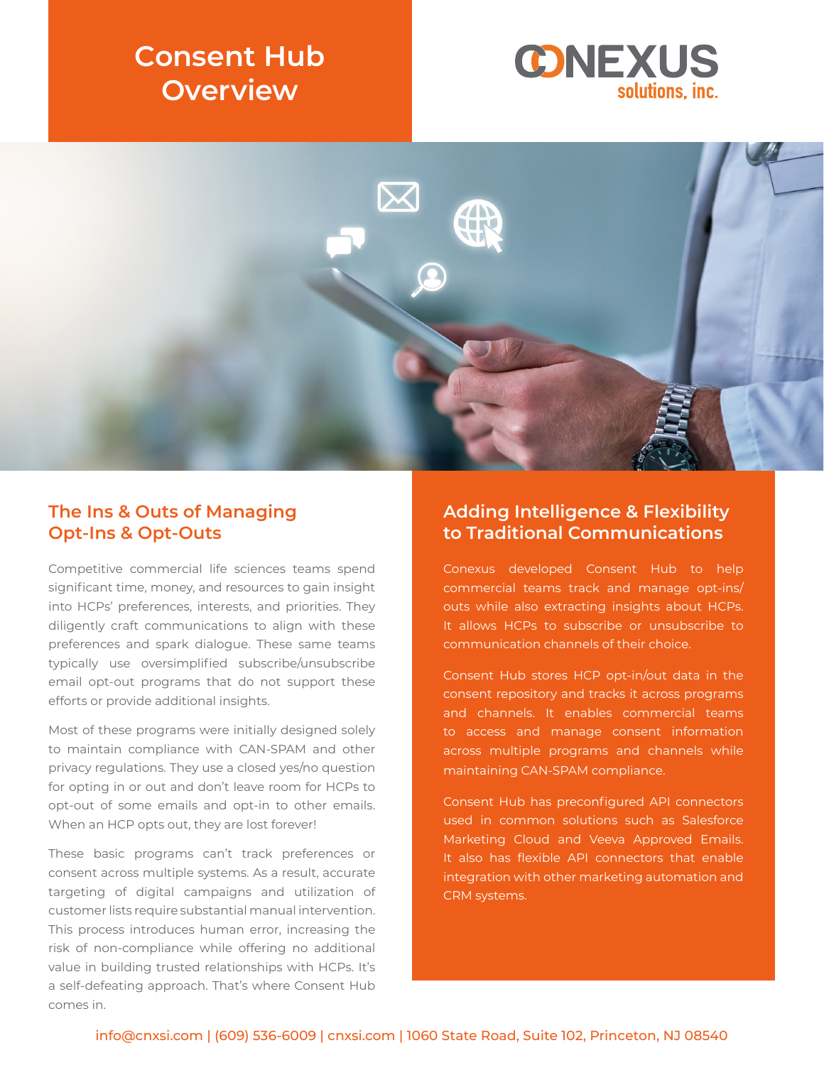# **Consent Hub Overview**





#### **The Ins & Outs of Managing Opt-Ins & Opt-Outs**

Competitive commercial life sciences teams spend significant time, money, and resources to gain insight into HCPs' preferences, interests, and priorities. They diligently craft communications to align with these preferences and spark dialogue. These same teams typically use oversimplified subscribe/unsubscribe email opt-out programs that do not support these efforts or provide additional insights.

Most of these programs were initially designed solely to maintain compliance with CAN-SPAM and other privacy regulations. They use a closed yes/no question for opting in or out and don't leave room for HCPs to opt-out of some emails and opt-in to other emails. When an HCP opts out, they are lost forever!

These basic programs can't track preferences or consent across multiple systems. As a result, accurate targeting of digital campaigns and utilization of customer lists require substantial manual intervention. This process introduces human error, increasing the risk of non-compliance while offering no additional value in building trusted relationships with HCPs. It's a self-defeating approach. That's where Consent Hub comes in.

#### **Adding Intelligence & Flexibility to Traditional Communications**

Conexus developed Consent Hub to help commercial teams track and manage opt-ins/ outs while also extracting insights about HCPs. It allows HCPs to subscribe or unsubscribe to communication channels of their choice.

Consent Hub stores HCP opt-in/out data in the consent repository and tracks it across programs and channels. It enables commercial teams to access and manage consent information across multiple programs and channels while maintaining CAN-SPAM compliance.

Consent Hub has preconfigured API connectors used in common solutions such as Salesforce Marketing Cloud and Veeva Approved Emails. It also has flexible API connectors that enable integration with other marketing automation and CRM systems.